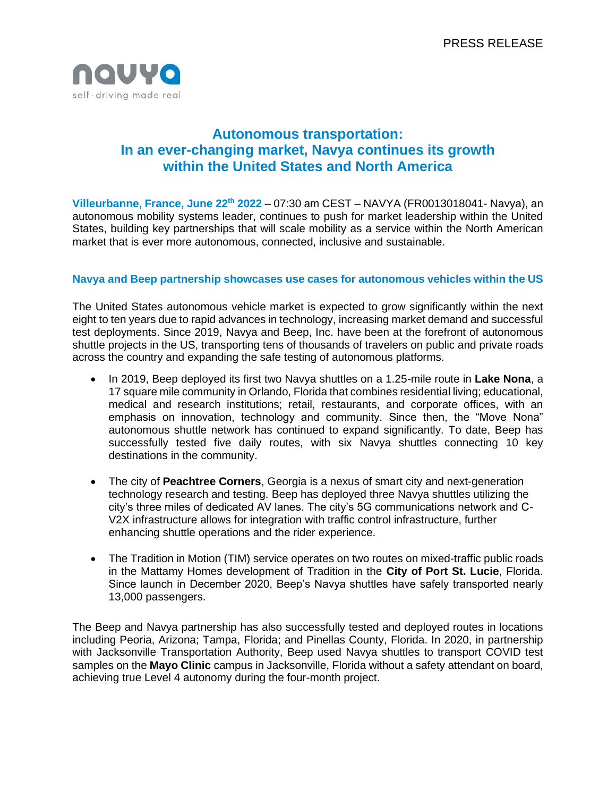

# **Autonomous transportation: In an ever-changing market, Navya continues its growth within the United States and North America**

**Villeurbanne, France, June 22th 2022** – 07:30 am CEST – NAVYA (FR0013018041- Navya), an autonomous mobility systems leader, continues to push for market leadership within the United States, building key partnerships that will scale mobility as a service within the North American market that is ever more autonomous, connected, inclusive and sustainable.

### **Navya and Beep partnership showcases use cases for autonomous vehicles within the US**

The United States autonomous vehicle market is expected to grow significantly within the next eight to ten years due to rapid advances in technology, increasing market demand and successful test deployments. Since 2019, Navya and Beep, Inc. have been at the forefront of autonomous shuttle projects in the US, transporting tens of thousands of travelers on public and private roads across the country and expanding the safe testing of autonomous platforms.

- In 2019, Beep deployed its first two Navya shuttles on a 1.25-mile route in **Lake Nona**, a 17 square mile community in Orlando, Florida that combines residential living; educational, medical and research institutions; retail, restaurants, and corporate offices, with an emphasis on innovation, technology and community. Since then, the "Move Nona" autonomous shuttle network has continued to expand significantly. To date, Beep has successfully tested five daily routes, with six Navya shuttles connecting 10 key destinations in the community.
- The city of **Peachtree Corners**, Georgia is a nexus of smart city and next-generation technology research and testing. Beep has deployed three Navya shuttles utilizing the city's three miles of dedicated AV lanes. The city's 5G communications network and C-V2X infrastructure allows for integration with traffic control infrastructure, further enhancing shuttle operations and the rider experience.
- The Tradition in Motion (TIM) service operates on two routes on mixed-traffic public roads in the Mattamy Homes development of Tradition in the **City of Port St. Lucie**, Florida. Since launch in December 2020, Beep's Navya shuttles have safely transported nearly 13,000 passengers.

The Beep and Navya partnership has also successfully tested and deployed routes in locations including Peoria, Arizona; Tampa, Florida; and Pinellas County, Florida. In 2020, in partnership with Jacksonville Transportation Authority, Beep used Navya shuttles to transport COVID test samples on the **Mayo Clinic** campus in Jacksonville, Florida without a safety attendant on board, achieving true Level 4 autonomy during the four-month project.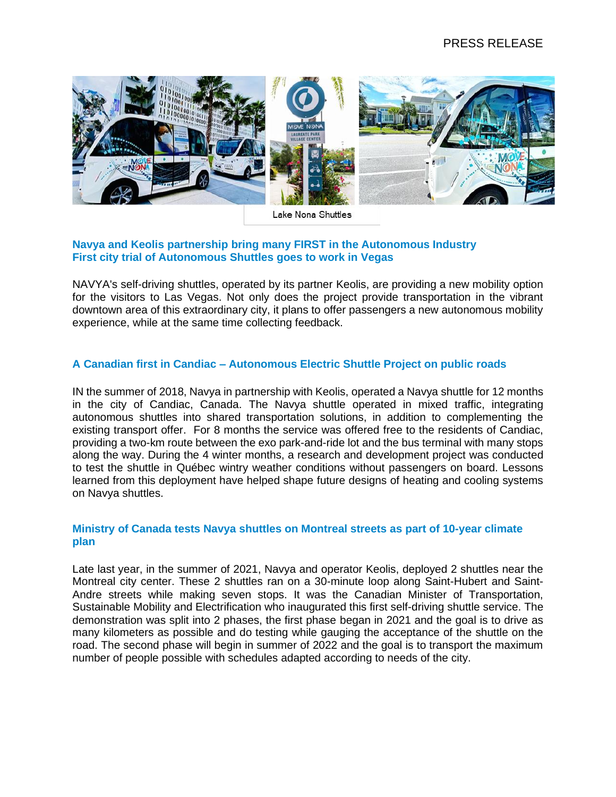

Lake Nona Shuttles

## **Navya and Keolis partnership bring many FIRST in the Autonomous Industry First city trial of Autonomous Shuttles goes to work in Vegas**

NAVYA's self-driving shuttles, operated by its partner Keolis, are providing a new mobility option for the visitors to Las Vegas. Not only does the project provide transportation in the vibrant downtown area of this extraordinary city, it plans to offer passengers a new autonomous mobility experience, while at the same time collecting feedback.

## **A Canadian first in Candiac – Autonomous Electric Shuttle Project on public roads**

IN the summer of 2018, Navya in partnership with Keolis, operated a Navya shuttle for 12 months in the city of Candiac, Canada. The Navya shuttle operated in mixed traffic, integrating autonomous shuttles into shared transportation solutions, in addition to complementing the existing transport offer. For 8 months the service was offered free to the residents of Candiac, providing a two-km route between the exo park-and-ride lot and the bus terminal with many stops along the way. During the 4 winter months, a research and development project was conducted to test the shuttle in Québec wintry weather conditions without passengers on board. Lessons learned from this deployment have helped shape future designs of heating and cooling systems on Navya shuttles.

## **Ministry of Canada tests Navya shuttles on Montreal streets as part of 10-year climate plan**

Late last year, in the summer of 2021, Navya and operator Keolis, deployed 2 shuttles near the Montreal city center. These 2 shuttles ran on a 30-minute loop along Saint-Hubert and Saint-Andre streets while making seven stops. It was the Canadian Minister of Transportation, Sustainable Mobility and Electrification who inaugurated this first self-driving shuttle service. The demonstration was split into 2 phases, the first phase began in 2021 and the goal is to drive as many kilometers as possible and do testing while gauging the acceptance of the shuttle on the road. The second phase will begin in summer of 2022 and the goal is to transport the maximum number of people possible with schedules adapted according to needs of the city.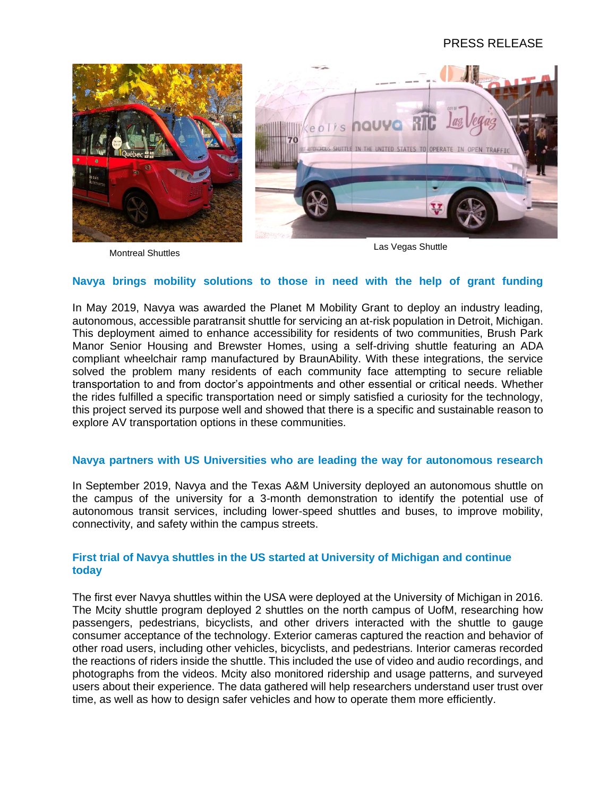## PRESS RELEASE



**Montreal Shuttles** Montreal Shuttles Las Vegas Shuttle

#### **Navya brings mobility solutions to those in need with the help of grant funding**

In May 2019, Navya was awarded the Planet M Mobility Grant to deploy an industry leading, autonomous, accessible paratransit shuttle for servicing an at-risk population in Detroit, Michigan. This deployment aimed to enhance accessibility for residents of two communities, Brush Park Manor Senior Housing and Brewster Homes, using a self-driving shuttle featuring an ADA compliant wheelchair ramp manufactured by BraunAbility. With these integrations, the service solved the problem many residents of each community face attempting to secure reliable transportation to and from doctor's appointments and other essential or critical needs. Whether the rides fulfilled a specific transportation need or simply satisfied a curiosity for the technology, this project served its purpose well and showed that there is a specific and sustainable reason to explore AV transportation options in these communities.

#### **Navya partners with US Universities who are leading the way for autonomous research**

In September 2019, Navya and the Texas A&M University deployed an autonomous shuttle on the campus of the university for a 3-month demonstration to identify the potential use of autonomous transit services, including lower-speed shuttles and buses, to improve mobility, connectivity, and safety within the campus streets.

### **First trial of Navya shuttles in the US started at University of Michigan and continue today**

The first ever Navya shuttles within the USA were deployed at the University of Michigan in 2016. The Mcity shuttle program deployed 2 shuttles on the north campus of UofM, researching how passengers, pedestrians, bicyclists, and other drivers interacted with the shuttle to gauge consumer acceptance of the technology. Exterior cameras captured the reaction and behavior of other road users, including other vehicles, bicyclists, and pedestrians. Interior cameras recorded the reactions of riders inside the shuttle. This included the use of video and audio recordings, and photographs from the videos. Mcity also monitored ridership and usage patterns, and surveyed users about their experience. The data gathered will help researchers understand user trust over time, as well as how to design safer vehicles and how to operate them more efficiently.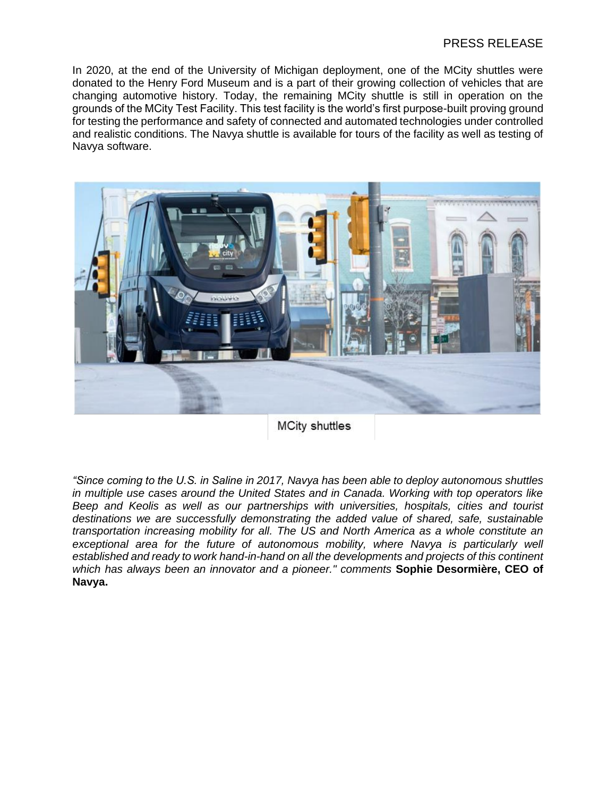## PRESS RELEASE

In 2020, at the end of the University of Michigan deployment, one of the MCity shuttles were donated to the Henry Ford Museum and is a part of their growing collection of vehicles that are changing automotive history. Today, the remaining MCity shuttle is still in operation on the grounds of the MCity Test Facility. This test facility is the world's first purpose-built proving ground for testing the performance and safety of connected and automated technologies under controlled and realistic conditions. The Navya shuttle is available for tours of the facility as well as testing of Navya software.



**MCity shuttles** 

*"Since coming to the U.S. in Saline in 2017, Navya has been able to deploy autonomous shuttles in multiple use cases around the United States and in Canada. Working with top operators like Beep and Keolis as well as our partnerships with universities, hospitals, cities and tourist destinations we are successfully demonstrating the added value of shared, safe, sustainable transportation increasing mobility for all. The US and North America as a whole constitute an exceptional area for the future of autonomous mobility, where Navya is particularly well established and ready to work hand-in-hand on all the developments and projects of this continent which has always been an innovator and a pioneer." comments* **Sophie Desormière, CEO of Navya.**